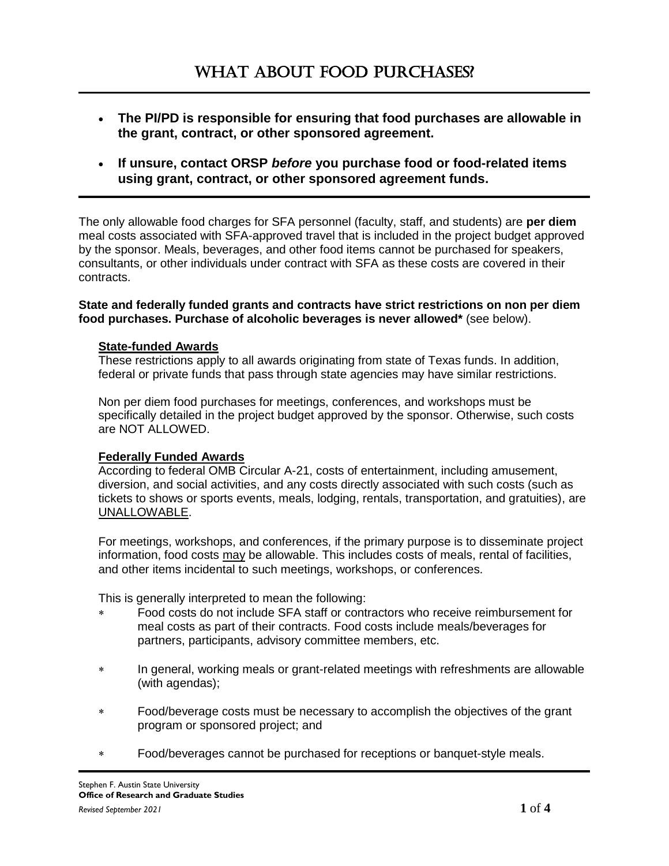- **The PI/PD is responsible for ensuring that food purchases are allowable in the grant, contract, or other sponsored agreement.**
- **If unsure, contact ORSP** *before* **you purchase food or food-related items using grant, contract, or other sponsored agreement funds.**

The only allowable food charges for SFA personnel (faculty, staff, and students) are **per diem** meal costs associated with SFA-approved travel that is included in the project budget approved by the sponsor. Meals, beverages, and other food items cannot be purchased for speakers, consultants, or other individuals under contract with SFA as these costs are covered in their contracts.

**State and federally funded grants and contracts have strict restrictions on non per diem food purchases. Purchase of alcoholic beverages is never allowed\*** (see below).

## **State-funded Awards**

These restrictions apply to all awards originating from state of Texas funds. In addition, federal or private funds that pass through state agencies may have similar restrictions.

Non per diem food purchases for meetings, conferences, and workshops must be specifically detailed in the project budget approved by the sponsor. Otherwise, such costs are NOT ALLOWED.

## **Federally Funded Awards**

According to federal OMB Circular A-21, costs of entertainment, including amusement, diversion, and social activities, and any costs directly associated with such costs (such as tickets to shows or sports events, meals, lodging, rentals, transportation, and gratuities), are UNALLOWABLE.

For meetings, workshops, and conferences, if the primary purpose is to disseminate project information, food costs may be allowable. This includes costs of meals, rental of facilities, and other items incidental to such meetings, workshops, or conferences.

This is generally interpreted to mean the following:

- Food costs do not include SFA staff or contractors who receive reimbursement for meal costs as part of their contracts. Food costs include meals/beverages for partners, participants, advisory committee members, etc.
- In general, working meals or grant-related meetings with refreshments are allowable (with agendas);
- Food/beverage costs must be necessary to accomplish the objectives of the grant program or sponsored project; and
- Food/beverages cannot be purchased for receptions or banquet-style meals.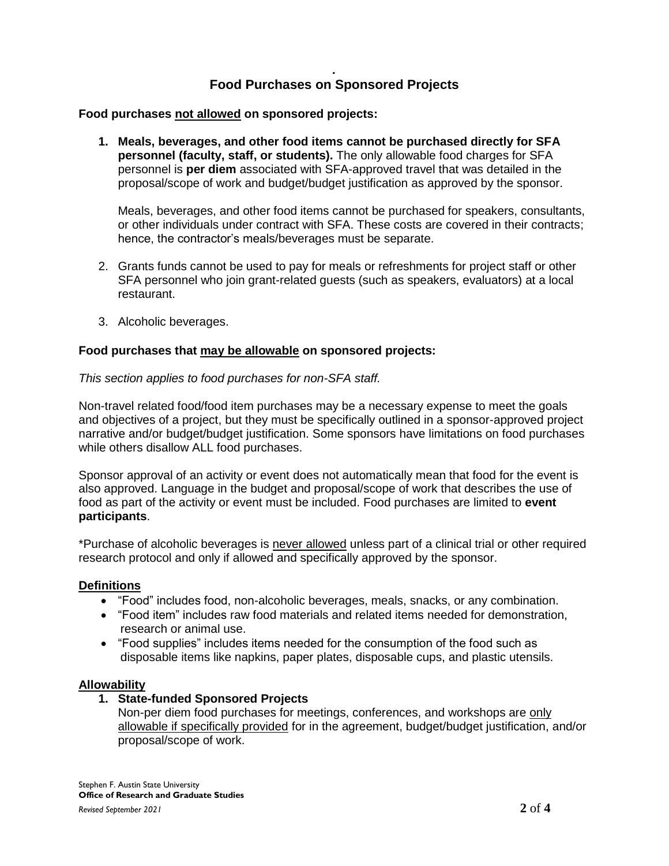## *.* **Food Purchases on Sponsored Projects**

## **Food purchases not allowed on sponsored projects:**

**1. Meals, beverages, and other food items cannot be purchased directly for SFA personnel (faculty, staff, or students).** The only allowable food charges for SFA personnel is **per diem** associated with SFA-approved travel that was detailed in the proposal/scope of work and budget/budget justification as approved by the sponsor.

Meals, beverages, and other food items cannot be purchased for speakers, consultants, or other individuals under contract with SFA. These costs are covered in their contracts; hence, the contractor's meals/beverages must be separate.

- 2. Grants funds cannot be used to pay for meals or refreshments for project staff or other SFA personnel who join grant-related guests (such as speakers, evaluators) at a local restaurant.
- 3. Alcoholic beverages.

## **Food purchases that may be allowable on sponsored projects:**

## *This section applies to food purchases for non-SFA staff.*

Non-travel related food/food item purchases may be a necessary expense to meet the goals and objectives of a project, but they must be specifically outlined in a sponsor-approved project narrative and/or budget/budget justification. Some sponsors have limitations on food purchases while others disallow ALL food purchases.

Sponsor approval of an activity or event does not automatically mean that food for the event is also approved. Language in the budget and proposal/scope of work that describes the use of food as part of the activity or event must be included. Food purchases are limited to **event participants**.

\*Purchase of alcoholic beverages is never allowed unless part of a clinical trial or other required research protocol and only if allowed and specifically approved by the sponsor.

## **Definitions**

- "Food" includes food, non-alcoholic beverages, meals, snacks, or any combination.
- "Food item" includes raw food materials and related items needed for demonstration, research or animal use.
- "Food supplies" includes items needed for the consumption of the food such as disposable items like napkins, paper plates, disposable cups, and plastic utensils.

#### **Allowability**

- **1. State-funded Sponsored Projects**
	- Non-per diem food purchases for meetings, conferences, and workshops are only allowable if specifically provided for in the agreement, budget/budget justification, and/or proposal/scope of work.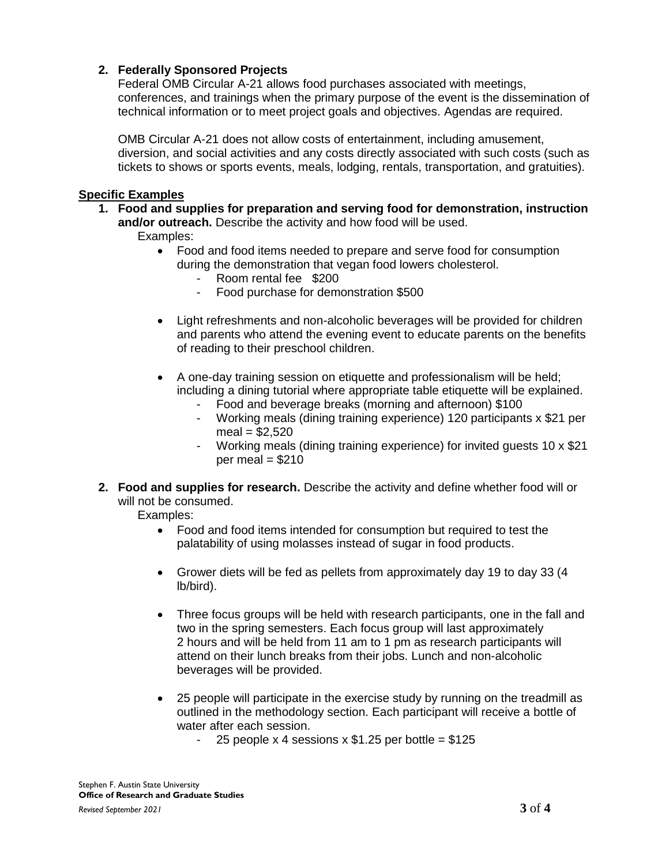# **2. Federally Sponsored Projects**

Federal OMB Circular A-21 allows food purchases associated with meetings, conferences, and trainings when the primary purpose of the event is the dissemination of technical information or to meet project goals and objectives. Agendas are required.

OMB Circular A-21 does not allow costs of entertainment, including amusement, diversion, and social activities and any costs directly associated with such costs (such as tickets to shows or sports events, meals, lodging, rentals, transportation, and gratuities).

#### **Specific Examples**

- **1. Food and supplies for preparation and serving food for demonstration, instruction and/or outreach.** Describe the activity and how food will be used. Examples:
	- Food and food items needed to prepare and serve food for consumption during the demonstration that vegan food lowers cholesterol.
		- Room rental fee \$200
		- Food purchase for demonstration \$500
	- Light refreshments and non-alcoholic beverages will be provided for children and parents who attend the evening event to educate parents on the benefits of reading to their preschool children.
	- A one-day training session on etiquette and professionalism will be held; including a dining tutorial where appropriate table etiquette will be explained.
		- Food and beverage breaks (morning and afternoon) \$100
		- Working meals (dining training experience) 120 participants x \$21 per  $meal = $2,520$
		- Working meals (dining training experience) for invited guests 10 x \$21  $per$  meal = \$210
- **2. Food and supplies for research.** Describe the activity and define whether food will or will not be consumed.
	- Examples:
		- Food and food items intended for consumption but required to test the palatability of using molasses instead of sugar in food products.
		- Grower diets will be fed as pellets from approximately day 19 to day 33 (4 lb/bird).
		- Three focus groups will be held with research participants, one in the fall and two in the spring semesters. Each focus group will last approximately 2 hours and will be held from 11 am to 1 pm as research participants will attend on their lunch breaks from their jobs. Lunch and non-alcoholic beverages will be provided.
		- 25 people will participate in the exercise study by running on the treadmill as outlined in the methodology section. Each participant will receive a bottle of water after each session.
			- 25 people x 4 sessions x  $$1.25$  per bottle =  $$125$